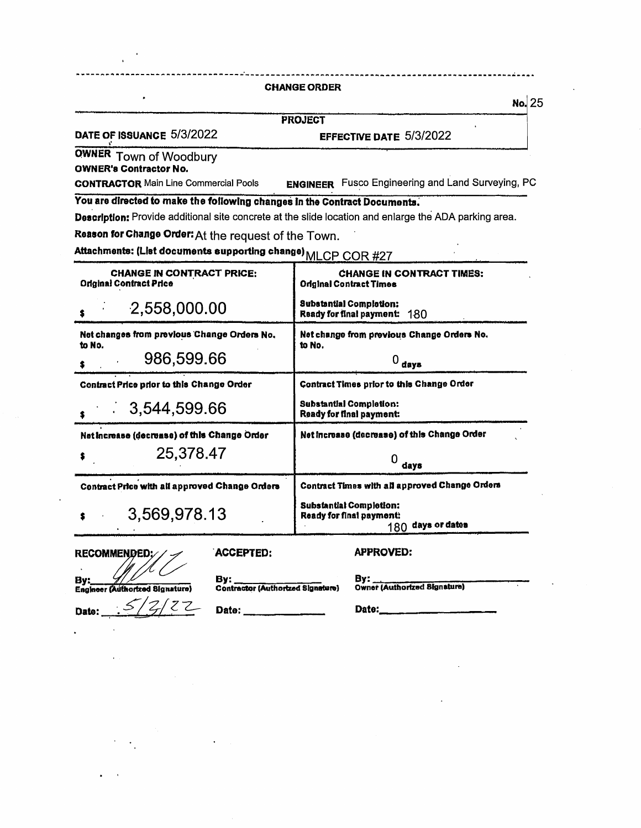#### **CHANGE ORDER**

**No.** 25

**PROJECT** 

DATE OF ISSUANCE 5/3/2022

EFFECTIVE DATE 5/3/2022

**OWNER Town of Woodbury**<br> **OWNER's Contractor No.** 

**ENGINEER** Fusco Engineering and Land Surveying, PC **CONTRACTOR Main Line Commercial Pools** 

You are directed to make the following changes in the Contract Documents.

Description: Provide additional site concrete at the slide location and enlarge the ADA parking area.

Reason for Change Order: At the request of the Town.

Attachments: (List documents supporting change) MLCP COR #27

| <b>CHANGE IN CONTRACT PRICE:</b><br><b>Original Contract Price</b> | <b>CHANGE IN CONTRACT TIMES:</b><br><b>Original Contract Times</b>              |
|--------------------------------------------------------------------|---------------------------------------------------------------------------------|
| 2,558,000.00                                                       | <b>Substantial Completion:</b><br>Ready for final payment:<br>180               |
| Net changes from previous Change Orders No.                        | Net change from previous Change Orders No.                                      |
| to No.<br>986,599.66                                               | to No.<br>$0_{\text{days}}$                                                     |
| Contract Price prior to this Change Order                          | Contract Times prior to this Change Order                                       |
| 3,544,599.66                                                       | <b>Substantial Completion:</b><br>Ready for final payment:                      |
| Net increase (decrease) of this Change Order                       | Net increase (decrease) of this Change Order                                    |
| 25,378.47                                                          | days                                                                            |
| Contract Price with all approved Change Orders                     | Contract Times with all approved Change Orders                                  |
| 3,569,978.13                                                       | <b>Substantial Completion:</b><br>Ready for final payment:<br>180 days or dates |

**RECOMMENDED** 

| ACCEPTED: |
|-----------|
|           |

**APPROVED:** 

By: **Engineer (Authorized Signature)**  $\mathcal{Z}$ 7

By: **Contractor (Authorized Signature)**  By:<br>Owner (Authorized Signature)

Date:

Date:

Date: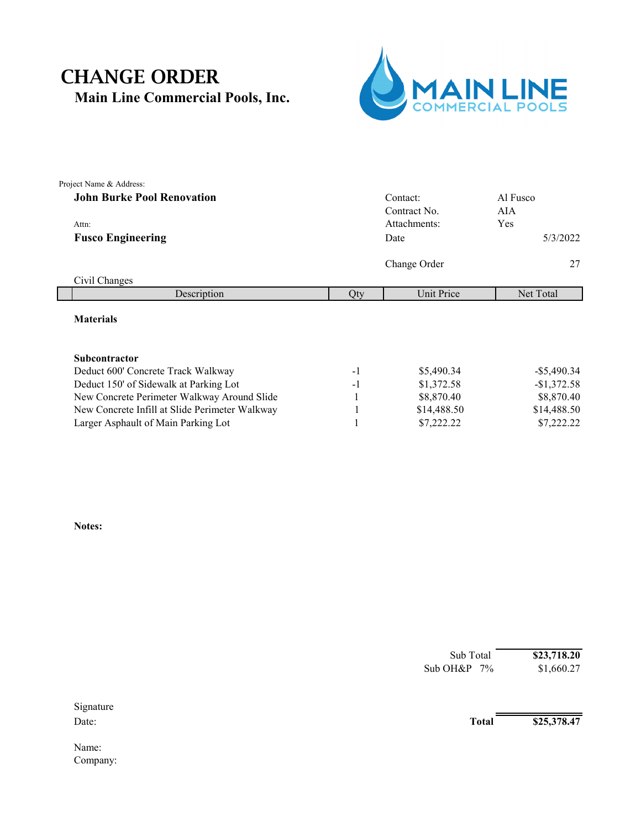## **Main Line Commercial Pools, Inc.** CHANGE ORDER



| Project Name & Address:                        |      |              |                |
|------------------------------------------------|------|--------------|----------------|
| <b>John Burke Pool Renovation</b>              |      | Contact:     | Al Fusco       |
|                                                |      | Contract No. | AIA            |
| Attn:                                          |      | Attachments: | Yes            |
| <b>Fusco Engineering</b>                       |      | Date         | 5/3/2022       |
|                                                |      | Change Order | 27             |
| Civil Changes                                  |      |              |                |
| Description                                    | Qty  | Unit Price   | Net Total      |
| <b>Materials</b>                               |      |              |                |
| Subcontractor                                  |      |              |                |
| Deduct 600' Concrete Track Walkway             | $-1$ | \$5,490.34   | $-$ \$5,490.34 |
| Deduct 150' of Sidewalk at Parking Lot         | $-1$ | \$1,372.58   | $-$1,372.58$   |
| New Concrete Perimeter Walkway Around Slide    | -1   | \$8,870.40   | \$8,870.40     |
| New Concrete Infill at Slide Perimeter Walkway | 1    | \$14,488.50  | \$14,488.50    |
| Larger Asphault of Main Parking Lot            |      | \$7,222.22   | \$7,222.22     |

**Notes:**

|           | Sub Total    | \$23,718.20 |  |
|-----------|--------------|-------------|--|
|           | Sub OH&P 7%  | \$1,660.27  |  |
| Signature |              |             |  |
| Date:     | <b>Total</b> | \$25,378.47 |  |
| Name:     |              |             |  |
| Company:  |              |             |  |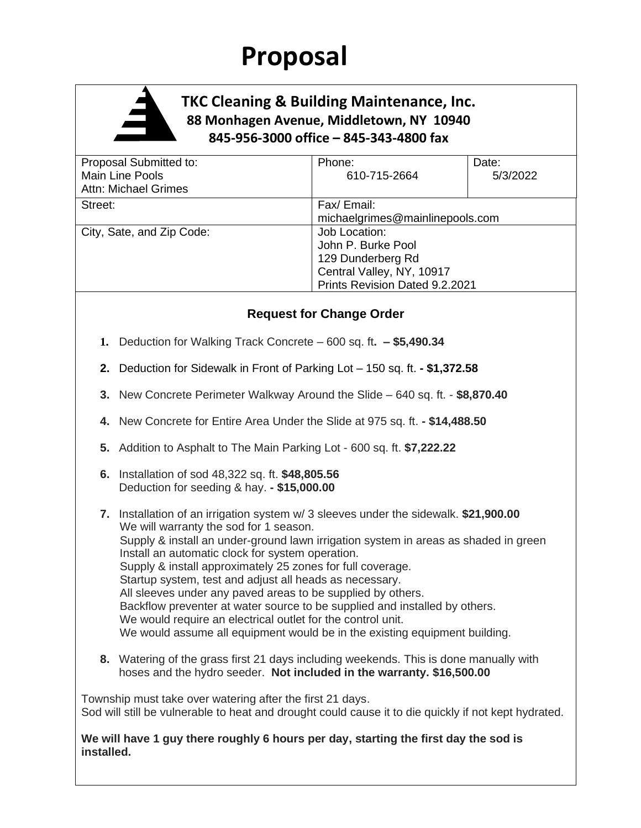# **Proposal**



### **TKC Cleaning & Building Maintenance, Inc. 88 Monhagen Avenue, Middletown, NY 10940 845-956-3000 office – 845-343-4800 fax**

| Proposal Submitted to:<br>Main Line Pools<br><b>Attn: Michael Grimes</b> | Phone:<br>610-715-2664                                                                                                  | Date:<br>5/3/2022 |  |
|--------------------------------------------------------------------------|-------------------------------------------------------------------------------------------------------------------------|-------------------|--|
| Street:                                                                  | Fax/ Email:<br>michaelgrimes@mainlinepools.com                                                                          |                   |  |
| City, Sate, and Zip Code:                                                | Job Location:<br>John P. Burke Pool<br>129 Dunderberg Rd<br>Central Valley, NY, 10917<br>Prints Revision Dated 9.2.2021 |                   |  |

### **Request for Change Order**

- **1.** Deduction for Walking Track Concrete 600 sq. ft**. – \$5,490.34**
- **2.** Deduction for Sidewalk in Front of Parking Lot 150 sq. ft. **- \$1,372.58**
- **3.** New Concrete Perimeter Walkway Around the Slide 640 sq. ft. **\$8,870.40**
- **4.** New Concrete for Entire Area Under the Slide at 975 sq. ft. **- \$14,488.50**
- **5.** Addition to Asphalt to The Main Parking Lot 600 sq. ft. **\$7,222.22**
- **6.** Installation of sod 48,322 sq. ft. **\$48,805.56** Deduction for seeding & hay. **- \$15,000.00**
- **7.** Installation of an irrigation system w/ 3 sleeves under the sidewalk. **\$21,900.00** We will warranty the sod for 1 season. Supply & install an under-ground lawn irrigation system in areas as shaded in green Install an automatic clock for system operation. Supply & install approximately 25 zones for full coverage. Startup system, test and adjust all heads as necessary. All sleeves under any paved areas to be supplied by others. Backflow preventer at water source to be supplied and installed by others. We would require an electrical outlet for the control unit. We would assume all equipment would be in the existing equipment building.
- **8.** Watering of the grass first 21 days including weekends. This is done manually with hoses and the hydro seeder. **Not included in the warranty. \$16,500.00**

Township must take over watering after the first 21 days. Sod will still be vulnerable to heat and drought could cause it to die quickly if not kept hydrated.

**We will have 1 guy there roughly 6 hours per day, starting the first day the sod is installed.**